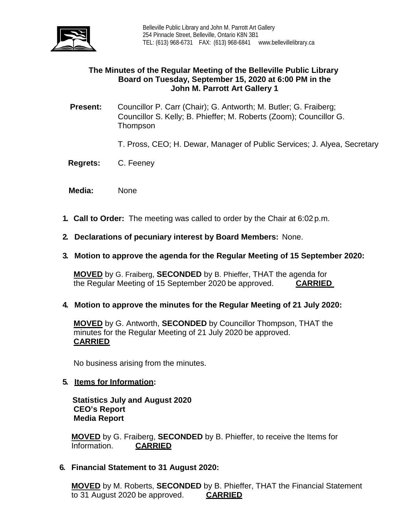

### **The Minutes of the Regular Meeting of the Belleville Public Library Board on Tuesday, September 15, 2020 at 6:00 PM in the John M. Parrott Art Gallery 1**

- **Present:** Councillor P. Carr (Chair); G. Antworth; M. Butler; G. Fraiberg; Councillor S. Kelly; B. Phieffer; M. Roberts (Zoom); Councillor G. Thompson
	- T. Pross, CEO; H. Dewar, Manager of Public Services; J. Alyea, Secretary
- **Regrets:** C. Feeney
- **Media:** None
- **1. Call to Order:** The meeting was called to order by the Chair at 6:02 p.m.
- **2. Declarations of pecuniary interest by Board Members:** None.
- **3. Motion to approve the agenda for the Regular Meeting of 15 September 2020:**

**MOVED** by G. Fraiberg, **SECONDED** by B. Phieffer, THAT the agenda for the Regular Meeting of 15 September 2020 be approved. **CARRIED**

**4. Motion to approve the minutes for the Regular Meeting of 21 July 2020:**

**MOVED** by G. Antworth, **SECONDED** by Councillor Thompson, THAT the minutes for the Regular Meeting of 21 July 2020 be approved. **CARRIED**

No business arising from the minutes.

**5. Items for Information:**

 **Statistics July and August 2020 CEO's Report Media Report**

**MOVED** by G. Fraiberg, **SECONDED** by B. Phieffer, to receive the Items for Information. **CARRIED** 

**6. Financial Statement to 31 August 2020:**

**MOVED** by M. Roberts, **SECONDED** by B. Phieffer, THAT the Financial Statement to 31 August 2020 be approved. **CARRIED**